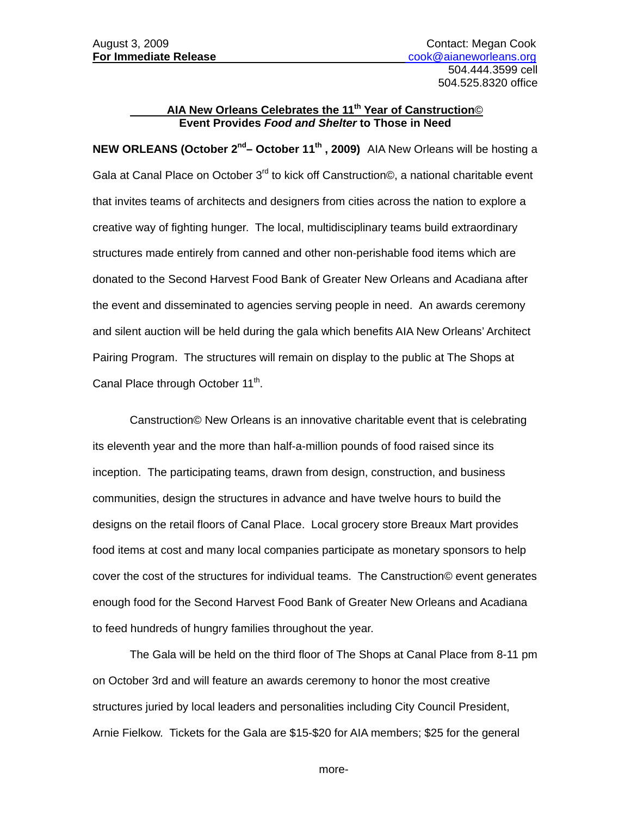## **AIA New Orleans Celebrates the 11th Year of Canstruction**© **Event Provides** *Food and Shelter* **to Those in Need**

**NEW ORLEANS (October 2<sup>nd</sup>– October 11<sup>th</sup>, 2009)** AIA New Orleans will be hosting a Gala at Canal Place on October 3<sup>rd</sup> to kick off Canstruction©, a national charitable event that invites teams of architects and designers from cities across the nation to explore a creative way of fighting hunger. The local, multidisciplinary teams build extraordinary structures made entirely from canned and other non-perishable food items which are donated to the Second Harvest Food Bank of Greater New Orleans and Acadiana after the event and disseminated to agencies serving people in need. An awards ceremony and silent auction will be held during the gala which benefits AIA New Orleans' Architect Pairing Program. The structures will remain on display to the public at The Shops at Canal Place through October 11<sup>th</sup>.

 Canstruction© New Orleans is an innovative charitable event that is celebrating its eleventh year and the more than half-a-million pounds of food raised since its inception. The participating teams, drawn from design, construction, and business communities, design the structures in advance and have twelve hours to build the designs on the retail floors of Canal Place. Local grocery store Breaux Mart provides food items at cost and many local companies participate as monetary sponsors to help cover the cost of the structures for individual teams. The Canstruction© event generates enough food for the Second Harvest Food Bank of Greater New Orleans and Acadiana to feed hundreds of hungry families throughout the year.

The Gala will be held on the third floor of The Shops at Canal Place from 8-11 pm on October 3rd and will feature an awards ceremony to honor the most creative structures juried by local leaders and personalities including City Council President, Arnie Fielkow. Tickets for the Gala are \$15-\$20 for AIA members; \$25 for the general